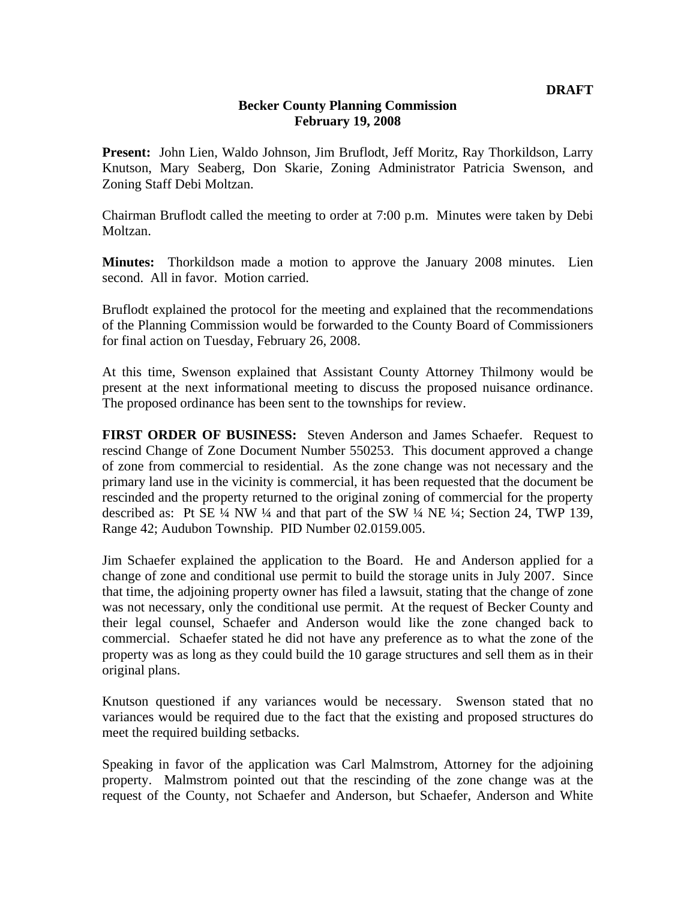## **Becker County Planning Commission February 19, 2008**

**Present:** John Lien, Waldo Johnson, Jim Bruflodt, Jeff Moritz, Ray Thorkildson, Larry Knutson, Mary Seaberg, Don Skarie, Zoning Administrator Patricia Swenson, and Zoning Staff Debi Moltzan.

Chairman Bruflodt called the meeting to order at 7:00 p.m. Minutes were taken by Debi Moltzan.

**Minutes:** Thorkildson made a motion to approve the January 2008 minutes. Lien second. All in favor. Motion carried.

Bruflodt explained the protocol for the meeting and explained that the recommendations of the Planning Commission would be forwarded to the County Board of Commissioners for final action on Tuesday, February 26, 2008.

At this time, Swenson explained that Assistant County Attorney Thilmony would be present at the next informational meeting to discuss the proposed nuisance ordinance. The proposed ordinance has been sent to the townships for review.

**FIRST ORDER OF BUSINESS:** Steven Anderson and James Schaefer. Request to rescind Change of Zone Document Number 550253. This document approved a change of zone from commercial to residential. As the zone change was not necessary and the primary land use in the vicinity is commercial, it has been requested that the document be rescinded and the property returned to the original zoning of commercial for the property described as: Pt SE  $\frac{1}{4}$  NW  $\frac{1}{4}$  and that part of the SW  $\frac{1}{4}$  NE  $\frac{1}{4}$ ; Section 24, TWP 139, Range 42; Audubon Township. PID Number 02.0159.005.

Jim Schaefer explained the application to the Board. He and Anderson applied for a change of zone and conditional use permit to build the storage units in July 2007. Since that time, the adjoining property owner has filed a lawsuit, stating that the change of zone was not necessary, only the conditional use permit. At the request of Becker County and their legal counsel, Schaefer and Anderson would like the zone changed back to commercial. Schaefer stated he did not have any preference as to what the zone of the property was as long as they could build the 10 garage structures and sell them as in their original plans.

Knutson questioned if any variances would be necessary. Swenson stated that no variances would be required due to the fact that the existing and proposed structures do meet the required building setbacks.

Speaking in favor of the application was Carl Malmstrom, Attorney for the adjoining property. Malmstrom pointed out that the rescinding of the zone change was at the request of the County, not Schaefer and Anderson, but Schaefer, Anderson and White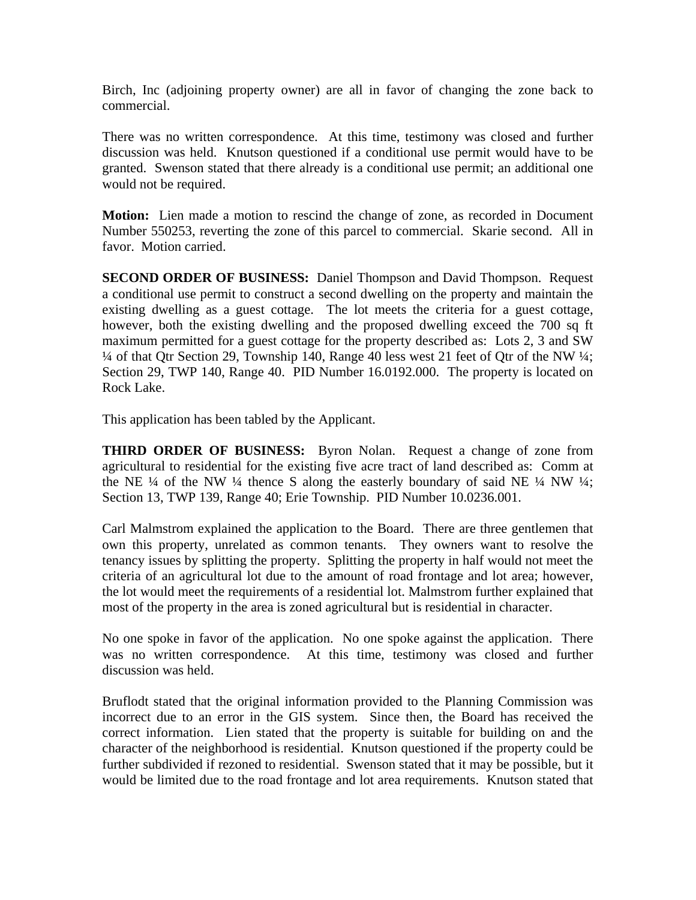Birch, Inc (adjoining property owner) are all in favor of changing the zone back to commercial.

There was no written correspondence. At this time, testimony was closed and further discussion was held. Knutson questioned if a conditional use permit would have to be granted. Swenson stated that there already is a conditional use permit; an additional one would not be required.

**Motion:** Lien made a motion to rescind the change of zone, as recorded in Document Number 550253, reverting the zone of this parcel to commercial. Skarie second. All in favor. Motion carried.

**SECOND ORDER OF BUSINESS:** Daniel Thompson and David Thompson. Request a conditional use permit to construct a second dwelling on the property and maintain the existing dwelling as a guest cottage. The lot meets the criteria for a guest cottage, however, both the existing dwelling and the proposed dwelling exceed the 700 sq ft maximum permitted for a guest cottage for the property described as: Lots 2, 3 and SW  $\frac{1}{4}$  of that Qtr Section 29, Township 140, Range 40 less west 21 feet of Qtr of the NW  $\frac{1}{4}$ ; Section 29, TWP 140, Range 40. PID Number 16.0192.000. The property is located on Rock Lake.

This application has been tabled by the Applicant.

**THIRD ORDER OF BUSINESS:** Byron Nolan. Request a change of zone from agricultural to residential for the existing five acre tract of land described as: Comm at the NE  $\frac{1}{4}$  of the NW  $\frac{1}{4}$  thence S along the easterly boundary of said NE  $\frac{1}{4}$  NW  $\frac{1}{4}$ ; Section 13, TWP 139, Range 40; Erie Township. PID Number 10.0236.001.

Carl Malmstrom explained the application to the Board. There are three gentlemen that own this property, unrelated as common tenants. They owners want to resolve the tenancy issues by splitting the property. Splitting the property in half would not meet the criteria of an agricultural lot due to the amount of road frontage and lot area; however, the lot would meet the requirements of a residential lot. Malmstrom further explained that most of the property in the area is zoned agricultural but is residential in character.

No one spoke in favor of the application. No one spoke against the application. There was no written correspondence. At this time, testimony was closed and further discussion was held.

Bruflodt stated that the original information provided to the Planning Commission was incorrect due to an error in the GIS system. Since then, the Board has received the correct information. Lien stated that the property is suitable for building on and the character of the neighborhood is residential. Knutson questioned if the property could be further subdivided if rezoned to residential. Swenson stated that it may be possible, but it would be limited due to the road frontage and lot area requirements. Knutson stated that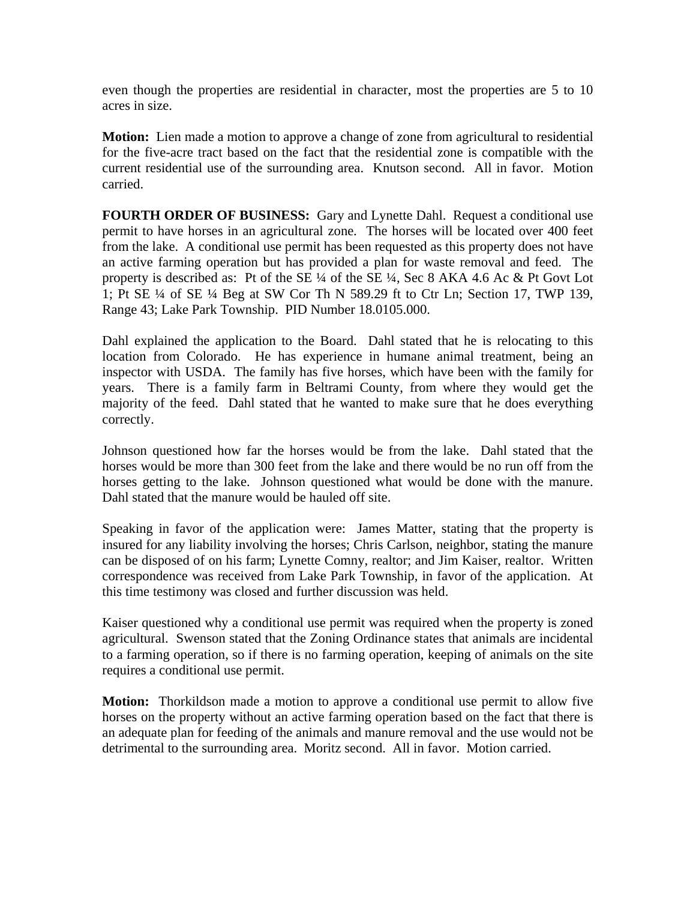even though the properties are residential in character, most the properties are 5 to 10 acres in size.

**Motion:** Lien made a motion to approve a change of zone from agricultural to residential for the five-acre tract based on the fact that the residential zone is compatible with the current residential use of the surrounding area. Knutson second. All in favor. Motion carried.

**FOURTH ORDER OF BUSINESS:** Gary and Lynette Dahl. Request a conditional use permit to have horses in an agricultural zone. The horses will be located over 400 feet from the lake. A conditional use permit has been requested as this property does not have an active farming operation but has provided a plan for waste removal and feed. The property is described as: Pt of the SE ¼ of the SE ¼, Sec 8 AKA 4.6 Ac & Pt Govt Lot 1; Pt SE ¼ of SE ¼ Beg at SW Cor Th N 589.29 ft to Ctr Ln; Section 17, TWP 139, Range 43; Lake Park Township. PID Number 18.0105.000.

Dahl explained the application to the Board. Dahl stated that he is relocating to this location from Colorado. He has experience in humane animal treatment, being an inspector with USDA. The family has five horses, which have been with the family for years. There is a family farm in Beltrami County, from where they would get the majority of the feed. Dahl stated that he wanted to make sure that he does everything correctly.

Johnson questioned how far the horses would be from the lake. Dahl stated that the horses would be more than 300 feet from the lake and there would be no run off from the horses getting to the lake. Johnson questioned what would be done with the manure. Dahl stated that the manure would be hauled off site.

Speaking in favor of the application were: James Matter, stating that the property is insured for any liability involving the horses; Chris Carlson, neighbor, stating the manure can be disposed of on his farm; Lynette Comny, realtor; and Jim Kaiser, realtor. Written correspondence was received from Lake Park Township, in favor of the application. At this time testimony was closed and further discussion was held.

Kaiser questioned why a conditional use permit was required when the property is zoned agricultural. Swenson stated that the Zoning Ordinance states that animals are incidental to a farming operation, so if there is no farming operation, keeping of animals on the site requires a conditional use permit.

**Motion:** Thorkildson made a motion to approve a conditional use permit to allow five horses on the property without an active farming operation based on the fact that there is an adequate plan for feeding of the animals and manure removal and the use would not be detrimental to the surrounding area. Moritz second. All in favor. Motion carried.